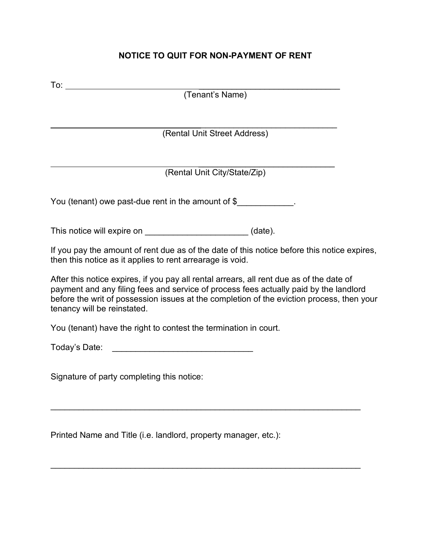## **NOTICE TO QUIT FOR NON-PAYMENT OF RENT**

Printed Name and Title (i.e. landlord, property manager, etc.):

\_\_\_\_\_\_\_\_\_\_\_\_\_\_\_\_\_\_\_\_\_\_\_\_\_\_\_\_\_\_\_\_\_\_\_\_\_\_\_\_\_\_\_\_\_\_\_\_\_\_\_\_\_\_\_\_\_\_\_\_\_\_\_\_\_\_